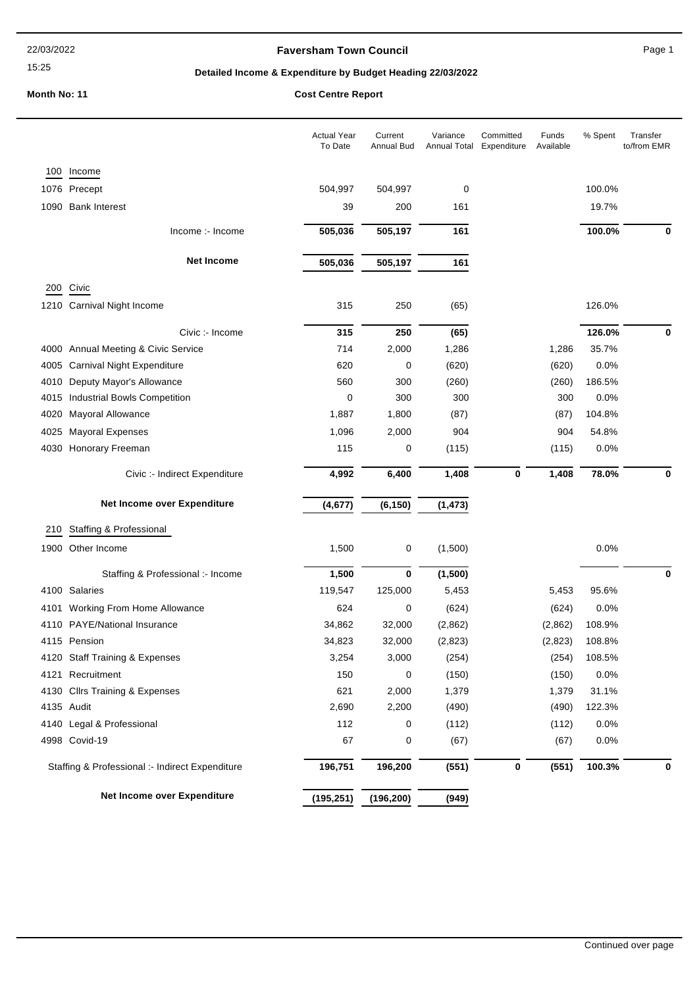#### 15:25

# **Faversham Town Council Canadian Council** Page 1

# **Detailed Income & Expenditure by Budget Heading 22/03/2022**

|      |                                                 | <b>Actual Year</b><br>To Date | Current<br>Annual Bud | Variance<br>Annual Total | Committed<br>Expenditure | Funds<br>Available | % Spent | Transfer<br>to/from EMR |
|------|-------------------------------------------------|-------------------------------|-----------------------|--------------------------|--------------------------|--------------------|---------|-------------------------|
| 100  | Income                                          |                               |                       |                          |                          |                    |         |                         |
|      | 1076 Precept                                    | 504,997                       | 504,997               | 0                        |                          |                    | 100.0%  |                         |
|      | 1090 Bank Interest                              | 39                            | 200                   | 161                      |                          |                    | 19.7%   |                         |
|      | Income :- Income                                | 505,036                       | 505,197               | 161                      |                          |                    | 100.0%  | 0                       |
|      | <b>Net Income</b>                               | 505,036                       | 505,197               | 161                      |                          |                    |         |                         |
|      |                                                 |                               |                       |                          |                          |                    |         |                         |
| 200  | Civic                                           |                               |                       |                          |                          |                    |         |                         |
|      | 1210 Carnival Night Income                      | 315                           | 250                   | (65)                     |                          |                    | 126.0%  |                         |
|      | Civic :- Income                                 | 315                           | 250                   | (65)                     |                          |                    | 126.0%  | 0                       |
|      | 4000 Annual Meeting & Civic Service             | 714                           | 2,000                 | 1,286                    |                          | 1,286              | 35.7%   |                         |
| 4005 | <b>Carnival Night Expenditure</b>               | 620                           | 0                     | (620)                    |                          | (620)              | 0.0%    |                         |
| 4010 | Deputy Mayor's Allowance                        | 560                           | 300                   | (260)                    |                          | (260)              | 186.5%  |                         |
| 4015 | <b>Industrial Bowls Competition</b>             | 0                             | 300                   | 300                      |                          | 300                | 0.0%    |                         |
| 4020 | Mayoral Allowance                               | 1,887                         | 1,800                 | (87)                     |                          | (87)               | 104.8%  |                         |
| 4025 | <b>Mayoral Expenses</b>                         | 1,096                         | 2,000                 | 904                      |                          | 904                | 54.8%   |                         |
| 4030 | Honorary Freeman                                | 115                           | 0                     | (115)                    |                          | (115)              | 0.0%    |                         |
|      | Civic :- Indirect Expenditure                   | 4,992                         | 6,400                 | 1,408                    | 0                        | 1,408              | 78.0%   | 0                       |
|      | Net Income over Expenditure                     | (4, 677)                      | (6, 150)              | (1, 473)                 |                          |                    |         |                         |
| 210  | Staffing & Professional                         |                               |                       |                          |                          |                    |         |                         |
|      | 1900 Other Income                               | 1,500                         | 0                     | (1,500)                  |                          |                    | 0.0%    |                         |
|      | Staffing & Professional :- Income               | 1,500                         | $\bf{0}$              | (1,500)                  |                          |                    |         | 0                       |
|      | 4100 Salaries                                   | 119,547                       | 125,000               | 5,453                    |                          | 5,453              | 95.6%   |                         |
|      | 4101 Working From Home Allowance                | 624                           | 0                     | (624)                    |                          | (624)              | 0.0%    |                         |
| 4110 | <b>PAYE/National Insurance</b>                  | 34,862                        | 32,000                | (2,862)                  |                          | (2,862)            | 108.9%  |                         |
|      | 4115 Pension                                    | 34,823                        | 32,000                | (2,823)                  |                          | (2,823)            | 108.8%  |                         |
|      | 4120 Staff Training & Expenses                  | 3,254                         | 3,000                 | (254)                    |                          | (254)              | 108.5%  |                         |
|      | 4121 Recruitment                                | 150                           | 0                     | (150)                    |                          | (150)              | 0.0%    |                         |
|      | 4130 Cllrs Training & Expenses                  | 621                           | 2,000                 | 1,379                    |                          | 1,379              | 31.1%   |                         |
|      | 4135 Audit                                      | 2,690                         | 2,200                 | (490)                    |                          | (490)              | 122.3%  |                         |
|      | 4140 Legal & Professional                       | 112                           | 0                     | (112)                    |                          | (112)              | 0.0%    |                         |
|      | 4998 Covid-19                                   | 67                            | 0                     | (67)                     |                          | (67)               | 0.0%    |                         |
|      | Staffing & Professional :- Indirect Expenditure | 196,751                       | 196,200               | (551)                    | 0                        | (551)              | 100.3%  | 0                       |
|      | Net Income over Expenditure                     | (195, 251)                    | (196, 200)            | (949)                    |                          |                    |         |                         |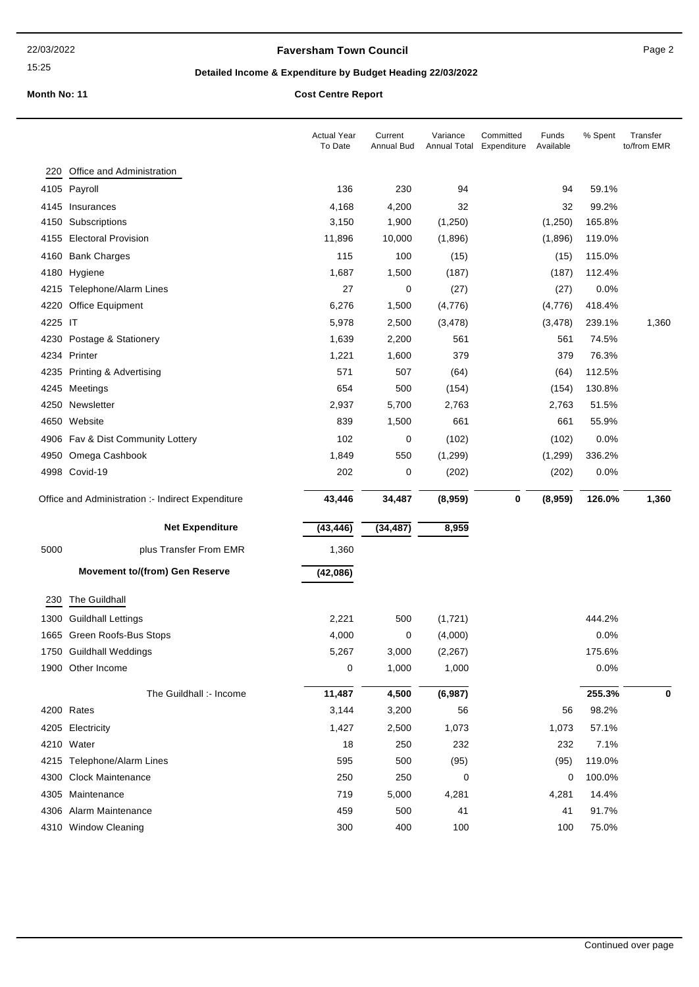# **Faversham Town Council Canadian Council** Page 2

15:25

# **Detailed Income & Expenditure by Budget Heading 22/03/2022**

|         |                                                   | <b>Actual Year</b><br>To Date | Current<br>Annual Bud | Variance<br>Annual Total Expenditure | Committed | Funds<br>Available | % Spent       | Transfer<br>to/from EMR |
|---------|---------------------------------------------------|-------------------------------|-----------------------|--------------------------------------|-----------|--------------------|---------------|-------------------------|
| 220     | Office and Administration                         |                               |                       |                                      |           |                    |               |                         |
| 4105    | Payroll                                           | 136                           | 230                   | 94                                   |           | 94                 | 59.1%         |                         |
|         | 4145 Insurances                                   | 4,168                         | 4,200                 | 32                                   |           | 32                 | 99.2%         |                         |
| 4150    | Subscriptions                                     | 3,150                         | 1,900                 | (1,250)                              |           | (1,250)            | 165.8%        |                         |
| 4155    | <b>Electoral Provision</b>                        | 11,896                        | 10,000                | (1,896)                              |           | (1,896)            | 119.0%        |                         |
|         | 4160 Bank Charges                                 | 115                           | 100                   | (15)                                 |           | (15)               | 115.0%        |                         |
| 4180    | Hygiene                                           | 1,687                         | 1,500                 | (187)                                |           | (187)              | 112.4%        |                         |
|         | 4215 Telephone/Alarm Lines                        | 27                            | 0                     | (27)                                 |           | (27)               | 0.0%          |                         |
| 4220    | Office Equipment                                  | 6,276                         | 1,500                 | (4,776)                              |           | (4,776)            | 418.4%        |                         |
| 4225 IT |                                                   | 5,978                         | 2,500                 | (3, 478)                             |           | (3, 478)           | 239.1%        | 1,360                   |
| 4230    | Postage & Stationery                              | 1,639                         | 2,200                 | 561                                  |           | 561                | 74.5%         |                         |
| 4234    | Printer                                           | 1,221                         | 1,600                 | 379                                  |           | 379                | 76.3%         |                         |
| 4235    | Printing & Advertising                            | 571                           | 507                   | (64)                                 |           | (64)               | 112.5%        |                         |
| 4245    | Meetings                                          | 654                           | 500                   | (154)                                |           | (154)              | 130.8%        |                         |
| 4250    | Newsletter                                        | 2,937                         | 5,700                 | 2,763                                |           | 2,763              | 51.5%         |                         |
| 4650    | Website                                           | 839                           | 1,500                 | 661                                  |           | 661                | 55.9%         |                         |
|         | 4906 Fav & Dist Community Lottery                 | 102                           | 0                     | (102)                                |           | (102)              | 0.0%          |                         |
| 4950    | Omega Cashbook                                    | 1,849                         | 550                   | (1, 299)                             |           | (1,299)            | 336.2%        |                         |
|         | 4998 Covid-19                                     | 202                           | 0                     | (202)                                |           | (202)              | 0.0%          |                         |
|         | Office and Administration :- Indirect Expenditure | 43,446                        | 34,487                | (8,959)                              | 0         | (8,959)            | 126.0%        | 1,360                   |
|         |                                                   |                               |                       |                                      |           |                    |               |                         |
|         |                                                   |                               |                       |                                      |           |                    |               |                         |
|         | <b>Net Expenditure</b>                            | (43, 446)                     | (34, 487)             | 8,959                                |           |                    |               |                         |
| 5000    | plus Transfer From EMR                            | 1,360                         |                       |                                      |           |                    |               |                         |
|         | <b>Movement to/(from) Gen Reserve</b>             | (42,086)                      |                       |                                      |           |                    |               |                         |
| 230     | The Guildhall                                     |                               |                       |                                      |           |                    |               |                         |
| 1300    | <b>Guildhall Lettings</b>                         | 2,221                         | 500                   | (1,721)                              |           |                    | 444.2%        |                         |
|         | 1665 Green Roofs-Bus Stops                        | 4,000                         | 0                     | (4,000)                              |           |                    | 0.0%          |                         |
|         | 1750 Guildhall Weddings                           | 5,267                         | 3,000                 | (2, 267)                             |           |                    | 175.6%        |                         |
|         | 1900 Other Income                                 | 0                             | 1,000                 | 1,000                                |           |                    | 0.0%          |                         |
|         | The Guildhall :- Income                           | 11,487                        | 4,500                 | (6,987)                              |           |                    | 255.3%        | 0                       |
|         | 4200 Rates                                        | 3,144                         | 3,200                 | 56                                   |           | 56                 | 98.2%         |                         |
|         | 4205 Electricity                                  | 1,427                         |                       |                                      |           | 1,073              |               |                         |
|         | 4210 Water                                        | 18                            | 2,500<br>250          | 1,073<br>232                         |           | 232                | 57.1%<br>7.1% |                         |
|         | 4215 Telephone/Alarm Lines                        | 595                           | 500                   | (95)                                 |           | (95)               | 119.0%        |                         |
|         | 4300 Clock Maintenance                            | 250                           | 250                   | 0                                    |           | 0                  | 100.0%        |                         |
|         | 4305 Maintenance                                  | 719                           | 5,000                 | 4,281                                |           | 4,281              | 14.4%         |                         |
|         | 4306 Alarm Maintenance                            | 459                           | 500                   | 41                                   |           | 41                 | 91.7%         |                         |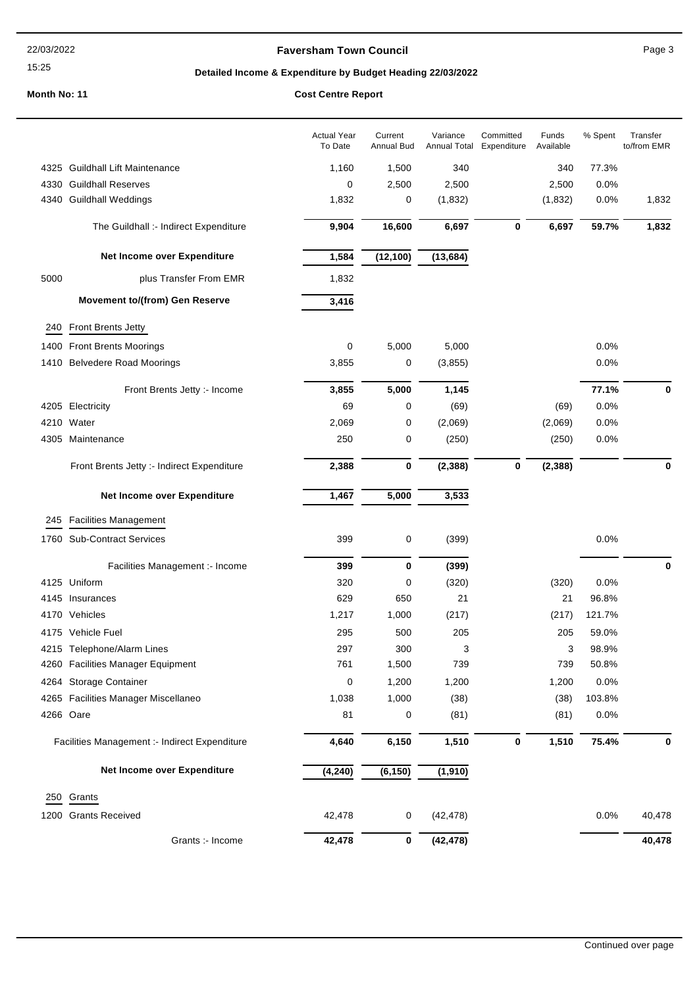# 15:25

# **Faversham Town Council Canadian Council** Page 3

# **Detailed Income & Expenditure by Budget Heading 22/03/2022**

# **Month No: 11**

|  |  | <b>Cost Centre Report</b> |
|--|--|---------------------------|
|--|--|---------------------------|

|      |                                               | <b>Actual Year</b><br>To Date | Current<br>Annual Bud | Variance<br>Annual Total | Committed<br>Expenditure | Funds<br>Available | % Spent | Transfer<br>to/from EMR |
|------|-----------------------------------------------|-------------------------------|-----------------------|--------------------------|--------------------------|--------------------|---------|-------------------------|
|      | 4325 Guildhall Lift Maintenance               | 1,160                         | 1,500                 | 340                      |                          | 340                | 77.3%   |                         |
|      | 4330 Guildhall Reserves                       | 0                             | 2,500                 | 2,500                    |                          | 2,500              | 0.0%    |                         |
|      | 4340 Guildhall Weddings                       | 1,832                         | 0                     | (1,832)                  |                          | (1,832)            | 0.0%    | 1,832                   |
|      | The Guildhall :- Indirect Expenditure         | 9,904                         | 16,600                | 6,697                    | $\pmb{0}$                | 6,697              | 59.7%   | 1,832                   |
|      | Net Income over Expenditure                   | 1,584                         | (12, 100)             | (13, 684)                |                          |                    |         |                         |
| 5000 | plus Transfer From EMR                        | 1,832                         |                       |                          |                          |                    |         |                         |
|      | <b>Movement to/(from) Gen Reserve</b>         | 3,416                         |                       |                          |                          |                    |         |                         |
| 240  | Front Brents Jetty                            |                               |                       |                          |                          |                    |         |                         |
|      | 1400 Front Brents Moorings                    | 0                             | 5,000                 | 5,000                    |                          |                    | 0.0%    |                         |
|      | 1410 Belvedere Road Moorings                  | 3,855                         | 0                     | (3, 855)                 |                          |                    | 0.0%    |                         |
|      | Front Brents Jetty :- Income                  | 3,855                         | 5,000                 | 1,145                    |                          |                    | 77.1%   | 0                       |
|      | 4205 Electricity                              | 69                            | 0                     | (69)                     |                          | (69)               | 0.0%    |                         |
|      | 4210 Water                                    | 2,069                         | 0                     | (2,069)                  |                          | (2,069)            | 0.0%    |                         |
|      | 4305 Maintenance                              | 250                           | 0                     | (250)                    |                          | (250)              | 0.0%    |                         |
|      | Front Brents Jetty :- Indirect Expenditure    | 2,388                         | $\bf{0}$              | (2, 388)                 | $\pmb{0}$                | (2, 388)           |         | 0                       |
|      | Net Income over Expenditure                   | 1,467                         | 5,000                 | 3,533                    |                          |                    |         |                         |
| 245  | <b>Facilities Management</b>                  |                               |                       |                          |                          |                    |         |                         |
|      | 1760 Sub-Contract Services                    | 399                           | 0                     | (399)                    |                          |                    | 0.0%    |                         |
|      | Facilities Management :- Income               | 399                           | $\bf{0}$              | (399)                    |                          |                    |         | 0                       |
|      | 4125 Uniform                                  | 320                           | 0                     | (320)                    |                          | (320)              | 0.0%    |                         |
|      | 4145 Insurances                               | 629                           | 650                   | 21                       |                          | 21                 | 96.8%   |                         |
|      | 4170 Vehicles                                 | 1,217                         | 1,000                 | (217)                    |                          | (217)              | 121.7%  |                         |
|      | 4175 Vehicle Fuel                             | 295                           | 500                   | 205                      |                          | 205                | 59.0%   |                         |
|      | 4215 Telephone/Alarm Lines                    | 297                           | 300                   | 3                        |                          | 3                  | 98.9%   |                         |
|      | 4260 Facilities Manager Equipment             | 761                           | 1,500                 | 739                      |                          | 739                | 50.8%   |                         |
|      | 4264 Storage Container                        | 0                             | 1,200                 | 1,200                    |                          | 1,200              | 0.0%    |                         |
|      | 4265 Facilities Manager Miscellaneo           | 1,038                         | 1,000                 | (38)                     |                          | (38)               | 103.8%  |                         |
|      | 4266 Oare                                     | 81                            | 0                     | (81)                     |                          | (81)               | 0.0%    |                         |
|      | Facilities Management :- Indirect Expenditure | 4,640                         | 6,150                 | 1,510                    | $\pmb{0}$                | 1,510              | 75.4%   | 0                       |
|      | Net Income over Expenditure                   | (4, 240)                      | (6, 150)              | (1, 910)                 |                          |                    |         |                         |
|      | 250 Grants                                    |                               |                       |                          |                          |                    |         |                         |
|      | 1200 Grants Received                          | 42,478                        | 0                     | (42, 478)                |                          |                    | 0.0%    | 40,478                  |
|      | Grants :- Income                              | 42,478                        | 0                     | (42, 478)                |                          |                    |         | 40,478                  |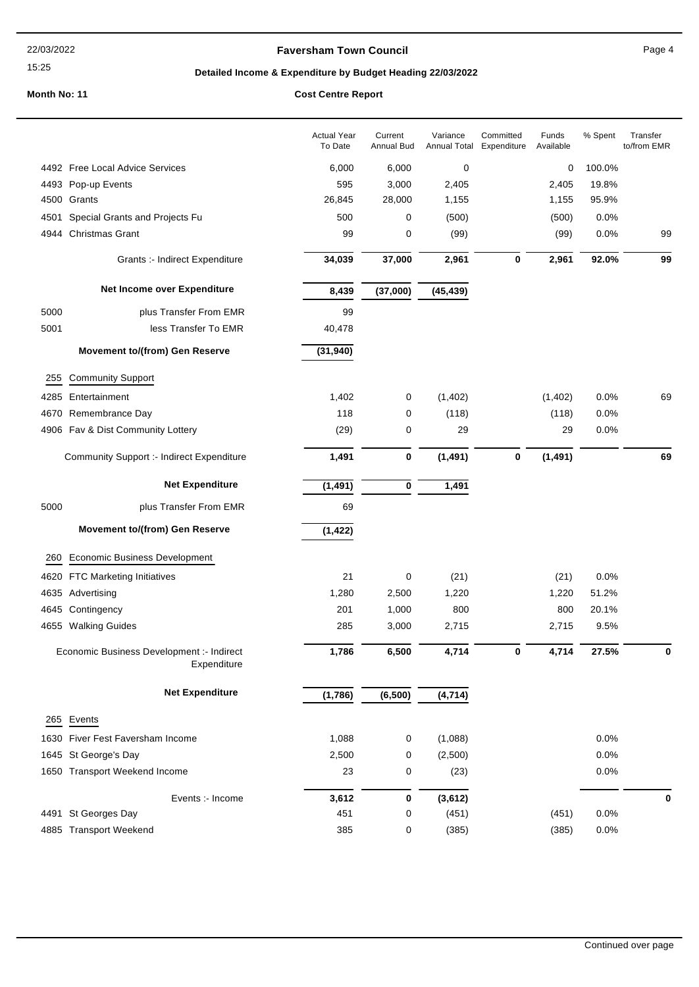# 15:25

# **Faversham Town Council Canadian Council** Page 4

# **Detailed Income & Expenditure by Budget Heading 22/03/2022**

|      |                                                          | <b>Actual Year</b><br>To Date | Current<br>Annual Bud | Variance<br>Annual Total | Committed<br>Expenditure | Funds<br>Available | % Spent | Transfer<br>to/from EMR |
|------|----------------------------------------------------------|-------------------------------|-----------------------|--------------------------|--------------------------|--------------------|---------|-------------------------|
|      | 4492 Free Local Advice Services                          | 6,000                         | 6,000                 | 0                        |                          | 0                  | 100.0%  |                         |
|      | 4493 Pop-up Events                                       | 595                           | 3,000                 | 2,405                    |                          | 2,405              | 19.8%   |                         |
|      | 4500 Grants                                              | 26,845                        | 28,000                | 1,155                    |                          | 1,155              | 95.9%   |                         |
| 4501 | Special Grants and Projects Fu                           | 500                           | 0                     | (500)                    |                          | (500)              | 0.0%    |                         |
|      | 4944 Christmas Grant                                     | 99                            | 0                     | (99)                     |                          | (99)               | 0.0%    | 99                      |
|      | Grants :- Indirect Expenditure                           | 34,039                        | 37,000                | 2,961                    | 0                        | 2,961              | 92.0%   | 99                      |
|      | Net Income over Expenditure                              | 8,439                         | (37,000)              | (45, 439)                |                          |                    |         |                         |
| 5000 | plus Transfer From EMR                                   | 99                            |                       |                          |                          |                    |         |                         |
| 5001 | less Transfer To EMR                                     | 40,478                        |                       |                          |                          |                    |         |                         |
|      | <b>Movement to/(from) Gen Reserve</b>                    | (31, 940)                     |                       |                          |                          |                    |         |                         |
| 255  | <b>Community Support</b>                                 |                               |                       |                          |                          |                    |         |                         |
| 4285 | Entertainment                                            | 1,402                         | 0                     | (1,402)                  |                          | (1,402)            | 0.0%    | 69                      |
| 4670 | Remembrance Day                                          | 118                           | 0                     | (118)                    |                          | (118)              | 0.0%    |                         |
|      | 4906 Fav & Dist Community Lottery                        | (29)                          | 0                     | 29                       |                          | 29                 | 0.0%    |                         |
|      | <b>Community Support :- Indirect Expenditure</b>         | 1,491                         | 0                     | (1, 491)                 | 0                        | (1, 491)           |         | 69                      |
|      | <b>Net Expenditure</b>                                   | (1, 491)                      | 0                     | 1,491                    |                          |                    |         |                         |
| 5000 | plus Transfer From EMR                                   | 69                            |                       |                          |                          |                    |         |                         |
|      | <b>Movement to/(from) Gen Reserve</b>                    | (1, 422)                      |                       |                          |                          |                    |         |                         |
| 260  | <b>Economic Business Development</b>                     |                               |                       |                          |                          |                    |         |                         |
|      | 4620 FTC Marketing Initiatives                           | 21                            | 0                     | (21)                     |                          | (21)               | 0.0%    |                         |
|      | 4635 Advertising                                         | 1,280                         | 2,500                 | 1,220                    |                          | 1,220              | 51.2%   |                         |
| 4645 | Contingency                                              | 201                           | 1,000                 | 800                      |                          | 800                | 20.1%   |                         |
|      | 4655 Walking Guides                                      | 285                           | 3,000                 | 2,715                    |                          | 2,715              | 9.5%    |                         |
|      | Economic Business Development :- Indirect<br>Expenditure | 1,786                         | 6,500                 | 4,714                    | 0                        | 4,714              | 27.5%   |                         |
|      | <b>Net Expenditure</b>                                   | (1,786)                       | (6, 500)              | (4, 714)                 |                          |                    |         |                         |
|      | 265 Events                                               |                               |                       |                          |                          |                    |         |                         |
|      | 1630 Fiver Fest Faversham Income                         | 1,088                         | 0                     | (1,088)                  |                          |                    | 0.0%    |                         |
|      | 1645 St George's Day                                     | 2,500                         | 0                     | (2,500)                  |                          |                    | 0.0%    |                         |
|      | 1650 Transport Weekend Income                            | 23                            | 0                     | (23)                     |                          |                    | 0.0%    |                         |
|      | Events :- Income                                         | 3,612                         | 0                     | (3,612)                  |                          |                    |         | 0                       |
|      | 4491 St Georges Day                                      | 451                           | 0                     | (451)                    |                          | (451)              | 0.0%    |                         |
|      | 4885 Transport Weekend                                   | 385                           | 0                     | (385)                    |                          | (385)              | 0.0%    |                         |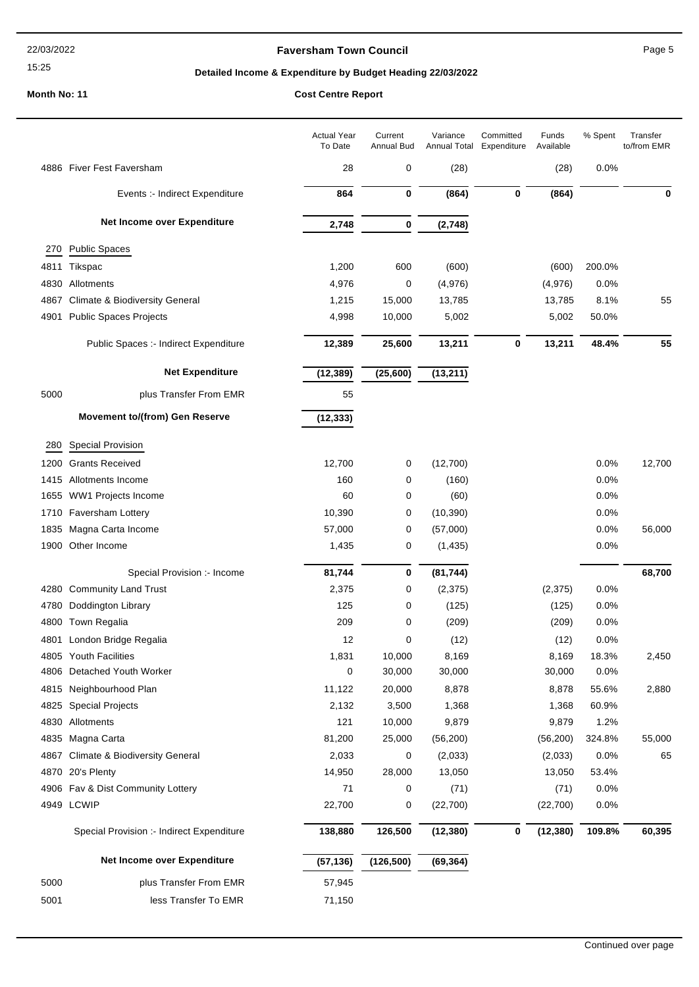#### 15:25

# **Faversham Town Council Canadian Council** Page 5

# **Detailed Income & Expenditure by Budget Heading 22/03/2022**

| 0<br>(28)<br>0.0%<br>4886 Fiver Fest Faversham<br>28<br>(28)<br>864<br>0<br>(864)<br>0<br>(864)<br>Events :- Indirect Expenditure<br>Net Income over Expenditure<br>2,748<br>0<br>(2,748)<br><b>Public Spaces</b><br>270<br>1,200<br>600<br>(600)<br>(600)<br>200.0%<br>4811<br>Tikspac<br>Allotments<br>4,976<br>0<br>(4,976)<br>0.0%<br>4830<br>(4,976)<br><b>Climate &amp; Biodiversity General</b><br>1,215<br>15,000<br>13,785<br>13,785<br>8.1%<br>4867<br>4901<br><b>Public Spaces Projects</b><br>4,998<br>10,000<br>5,002<br>5,002<br>50.0%<br>12,389<br>25,600<br>13,211<br>0<br>13,211<br>48.4%<br>Public Spaces :- Indirect Expenditure<br><b>Net Expenditure</b><br>(25,600)<br>(13, 211)<br>(12, 389)<br>5000<br>plus Transfer From EMR<br>55<br><b>Movement to/(from) Gen Reserve</b><br>(12, 333)<br>Special Provision<br>280<br><b>Grants Received</b><br>0.0%<br>12,700<br>0<br>(12,700)<br>1200<br>1415 Allotments Income<br>160<br>0<br>(160)<br>0.0%<br>0.0%<br>1655 WW1 Projects Income<br>60<br>0<br>(60)<br>10,390<br>0<br>(10, 390)<br>0.0%<br>Faversham Lottery<br>1710<br>1835 Magna Carta Income<br>57,000<br>(57,000)<br>0.0%<br>0<br>1900 Other Income<br>1,435<br>0<br>(1, 435)<br>0.0%<br>81,744<br>0<br>(81, 744)<br>Special Provision :- Income<br>4280 Community Land Trust<br>2,375<br>0<br>(2, 375)<br>(2, 375)<br>0.0%<br>125<br>Doddington Library<br>(125)<br>(125)<br>0.0%<br>4780<br>0<br>4800 Town Regalia<br>209<br>0<br>0.0%<br>(209)<br>(209)<br>12<br>0<br>(12)<br>0.0%<br>4801 London Bridge Regalia<br>(12)<br>4805 Youth Facilities<br>1,831<br>10,000<br>8,169<br>8,169<br>18.3%<br>Detached Youth Worker<br>0<br>30,000<br>30,000<br>30,000<br>0.0%<br>4806<br>Neighbourhood Plan<br>11,122<br>20,000<br>8,878<br>8,878<br>55.6%<br>4815<br>2,132<br><b>Special Projects</b><br>3,500<br>1,368<br>1,368<br>60.9%<br>4825<br>4830<br>Allotments<br>121<br>10,000<br>9,879<br>9,879<br>1.2%<br>Magna Carta<br>81,200<br>4835<br>25,000<br>(56, 200)<br>(56, 200)<br>324.8%<br><b>Climate &amp; Biodiversity General</b><br>2,033<br>0<br>(2,033)<br>0.0%<br>4867<br>(2,033)<br>20's Plenty<br>14,950<br>28,000<br>13,050<br>13,050<br>53.4%<br>4870<br>Fav & Dist Community Lottery<br>71<br>(71)<br>(71)<br>0.0%<br>4906<br>0<br>4949 LCWIP<br>22,700<br>(22, 700)<br>0.0%<br>0<br>(22,700)<br>138,880<br>126,500<br>(12, 380)<br>109.8%<br>Special Provision :- Indirect Expenditure<br>(12, 380)<br>0<br>Net Income over Expenditure<br>(57, 136)<br>(126, 500)<br>(69, 364)<br>5000<br>plus Transfer From EMR<br>57,945<br>5001<br>less Transfer To EMR<br>71,150 |  | <b>Actual Year</b><br>To Date | Current<br>Annual Bud | Variance<br>Annual Total | Committed<br>Expenditure | Funds<br>Available | % Spent | Transfer<br>to/from EMR |
|-------------------------------------------------------------------------------------------------------------------------------------------------------------------------------------------------------------------------------------------------------------------------------------------------------------------------------------------------------------------------------------------------------------------------------------------------------------------------------------------------------------------------------------------------------------------------------------------------------------------------------------------------------------------------------------------------------------------------------------------------------------------------------------------------------------------------------------------------------------------------------------------------------------------------------------------------------------------------------------------------------------------------------------------------------------------------------------------------------------------------------------------------------------------------------------------------------------------------------------------------------------------------------------------------------------------------------------------------------------------------------------------------------------------------------------------------------------------------------------------------------------------------------------------------------------------------------------------------------------------------------------------------------------------------------------------------------------------------------------------------------------------------------------------------------------------------------------------------------------------------------------------------------------------------------------------------------------------------------------------------------------------------------------------------------------------------------------------------------------------------------------------------------------------------------------------------------------------------------------------------------------------------------------------------------------------------------------------------------------------------------------------------------------------------------------------------------------------------------------------------------------------------------------------------------------------------------------------------------------------------|--|-------------------------------|-----------------------|--------------------------|--------------------------|--------------------|---------|-------------------------|
|                                                                                                                                                                                                                                                                                                                                                                                                                                                                                                                                                                                                                                                                                                                                                                                                                                                                                                                                                                                                                                                                                                                                                                                                                                                                                                                                                                                                                                                                                                                                                                                                                                                                                                                                                                                                                                                                                                                                                                                                                                                                                                                                                                                                                                                                                                                                                                                                                                                                                                                                                                                                                         |  |                               |                       |                          |                          |                    |         |                         |
|                                                                                                                                                                                                                                                                                                                                                                                                                                                                                                                                                                                                                                                                                                                                                                                                                                                                                                                                                                                                                                                                                                                                                                                                                                                                                                                                                                                                                                                                                                                                                                                                                                                                                                                                                                                                                                                                                                                                                                                                                                                                                                                                                                                                                                                                                                                                                                                                                                                                                                                                                                                                                         |  |                               |                       |                          |                          |                    |         | 0                       |
|                                                                                                                                                                                                                                                                                                                                                                                                                                                                                                                                                                                                                                                                                                                                                                                                                                                                                                                                                                                                                                                                                                                                                                                                                                                                                                                                                                                                                                                                                                                                                                                                                                                                                                                                                                                                                                                                                                                                                                                                                                                                                                                                                                                                                                                                                                                                                                                                                                                                                                                                                                                                                         |  |                               |                       |                          |                          |                    |         |                         |
|                                                                                                                                                                                                                                                                                                                                                                                                                                                                                                                                                                                                                                                                                                                                                                                                                                                                                                                                                                                                                                                                                                                                                                                                                                                                                                                                                                                                                                                                                                                                                                                                                                                                                                                                                                                                                                                                                                                                                                                                                                                                                                                                                                                                                                                                                                                                                                                                                                                                                                                                                                                                                         |  |                               |                       |                          |                          |                    |         |                         |
|                                                                                                                                                                                                                                                                                                                                                                                                                                                                                                                                                                                                                                                                                                                                                                                                                                                                                                                                                                                                                                                                                                                                                                                                                                                                                                                                                                                                                                                                                                                                                                                                                                                                                                                                                                                                                                                                                                                                                                                                                                                                                                                                                                                                                                                                                                                                                                                                                                                                                                                                                                                                                         |  |                               |                       |                          |                          |                    |         |                         |
|                                                                                                                                                                                                                                                                                                                                                                                                                                                                                                                                                                                                                                                                                                                                                                                                                                                                                                                                                                                                                                                                                                                                                                                                                                                                                                                                                                                                                                                                                                                                                                                                                                                                                                                                                                                                                                                                                                                                                                                                                                                                                                                                                                                                                                                                                                                                                                                                                                                                                                                                                                                                                         |  |                               |                       |                          |                          |                    |         |                         |
|                                                                                                                                                                                                                                                                                                                                                                                                                                                                                                                                                                                                                                                                                                                                                                                                                                                                                                                                                                                                                                                                                                                                                                                                                                                                                                                                                                                                                                                                                                                                                                                                                                                                                                                                                                                                                                                                                                                                                                                                                                                                                                                                                                                                                                                                                                                                                                                                                                                                                                                                                                                                                         |  |                               |                       |                          |                          |                    |         | 55                      |
|                                                                                                                                                                                                                                                                                                                                                                                                                                                                                                                                                                                                                                                                                                                                                                                                                                                                                                                                                                                                                                                                                                                                                                                                                                                                                                                                                                                                                                                                                                                                                                                                                                                                                                                                                                                                                                                                                                                                                                                                                                                                                                                                                                                                                                                                                                                                                                                                                                                                                                                                                                                                                         |  |                               |                       |                          |                          |                    |         |                         |
|                                                                                                                                                                                                                                                                                                                                                                                                                                                                                                                                                                                                                                                                                                                                                                                                                                                                                                                                                                                                                                                                                                                                                                                                                                                                                                                                                                                                                                                                                                                                                                                                                                                                                                                                                                                                                                                                                                                                                                                                                                                                                                                                                                                                                                                                                                                                                                                                                                                                                                                                                                                                                         |  |                               |                       |                          |                          |                    |         | 55                      |
|                                                                                                                                                                                                                                                                                                                                                                                                                                                                                                                                                                                                                                                                                                                                                                                                                                                                                                                                                                                                                                                                                                                                                                                                                                                                                                                                                                                                                                                                                                                                                                                                                                                                                                                                                                                                                                                                                                                                                                                                                                                                                                                                                                                                                                                                                                                                                                                                                                                                                                                                                                                                                         |  |                               |                       |                          |                          |                    |         |                         |
|                                                                                                                                                                                                                                                                                                                                                                                                                                                                                                                                                                                                                                                                                                                                                                                                                                                                                                                                                                                                                                                                                                                                                                                                                                                                                                                                                                                                                                                                                                                                                                                                                                                                                                                                                                                                                                                                                                                                                                                                                                                                                                                                                                                                                                                                                                                                                                                                                                                                                                                                                                                                                         |  |                               |                       |                          |                          |                    |         |                         |
|                                                                                                                                                                                                                                                                                                                                                                                                                                                                                                                                                                                                                                                                                                                                                                                                                                                                                                                                                                                                                                                                                                                                                                                                                                                                                                                                                                                                                                                                                                                                                                                                                                                                                                                                                                                                                                                                                                                                                                                                                                                                                                                                                                                                                                                                                                                                                                                                                                                                                                                                                                                                                         |  |                               |                       |                          |                          |                    |         |                         |
|                                                                                                                                                                                                                                                                                                                                                                                                                                                                                                                                                                                                                                                                                                                                                                                                                                                                                                                                                                                                                                                                                                                                                                                                                                                                                                                                                                                                                                                                                                                                                                                                                                                                                                                                                                                                                                                                                                                                                                                                                                                                                                                                                                                                                                                                                                                                                                                                                                                                                                                                                                                                                         |  |                               |                       |                          |                          |                    |         |                         |
|                                                                                                                                                                                                                                                                                                                                                                                                                                                                                                                                                                                                                                                                                                                                                                                                                                                                                                                                                                                                                                                                                                                                                                                                                                                                                                                                                                                                                                                                                                                                                                                                                                                                                                                                                                                                                                                                                                                                                                                                                                                                                                                                                                                                                                                                                                                                                                                                                                                                                                                                                                                                                         |  |                               |                       |                          |                          |                    |         | 12,700                  |
|                                                                                                                                                                                                                                                                                                                                                                                                                                                                                                                                                                                                                                                                                                                                                                                                                                                                                                                                                                                                                                                                                                                                                                                                                                                                                                                                                                                                                                                                                                                                                                                                                                                                                                                                                                                                                                                                                                                                                                                                                                                                                                                                                                                                                                                                                                                                                                                                                                                                                                                                                                                                                         |  |                               |                       |                          |                          |                    |         |                         |
|                                                                                                                                                                                                                                                                                                                                                                                                                                                                                                                                                                                                                                                                                                                                                                                                                                                                                                                                                                                                                                                                                                                                                                                                                                                                                                                                                                                                                                                                                                                                                                                                                                                                                                                                                                                                                                                                                                                                                                                                                                                                                                                                                                                                                                                                                                                                                                                                                                                                                                                                                                                                                         |  |                               |                       |                          |                          |                    |         |                         |
|                                                                                                                                                                                                                                                                                                                                                                                                                                                                                                                                                                                                                                                                                                                                                                                                                                                                                                                                                                                                                                                                                                                                                                                                                                                                                                                                                                                                                                                                                                                                                                                                                                                                                                                                                                                                                                                                                                                                                                                                                                                                                                                                                                                                                                                                                                                                                                                                                                                                                                                                                                                                                         |  |                               |                       |                          |                          |                    |         |                         |
|                                                                                                                                                                                                                                                                                                                                                                                                                                                                                                                                                                                                                                                                                                                                                                                                                                                                                                                                                                                                                                                                                                                                                                                                                                                                                                                                                                                                                                                                                                                                                                                                                                                                                                                                                                                                                                                                                                                                                                                                                                                                                                                                                                                                                                                                                                                                                                                                                                                                                                                                                                                                                         |  |                               |                       |                          |                          |                    |         | 56,000                  |
|                                                                                                                                                                                                                                                                                                                                                                                                                                                                                                                                                                                                                                                                                                                                                                                                                                                                                                                                                                                                                                                                                                                                                                                                                                                                                                                                                                                                                                                                                                                                                                                                                                                                                                                                                                                                                                                                                                                                                                                                                                                                                                                                                                                                                                                                                                                                                                                                                                                                                                                                                                                                                         |  |                               |                       |                          |                          |                    |         |                         |
|                                                                                                                                                                                                                                                                                                                                                                                                                                                                                                                                                                                                                                                                                                                                                                                                                                                                                                                                                                                                                                                                                                                                                                                                                                                                                                                                                                                                                                                                                                                                                                                                                                                                                                                                                                                                                                                                                                                                                                                                                                                                                                                                                                                                                                                                                                                                                                                                                                                                                                                                                                                                                         |  |                               |                       |                          |                          |                    |         | 68,700                  |
|                                                                                                                                                                                                                                                                                                                                                                                                                                                                                                                                                                                                                                                                                                                                                                                                                                                                                                                                                                                                                                                                                                                                                                                                                                                                                                                                                                                                                                                                                                                                                                                                                                                                                                                                                                                                                                                                                                                                                                                                                                                                                                                                                                                                                                                                                                                                                                                                                                                                                                                                                                                                                         |  |                               |                       |                          |                          |                    |         |                         |
|                                                                                                                                                                                                                                                                                                                                                                                                                                                                                                                                                                                                                                                                                                                                                                                                                                                                                                                                                                                                                                                                                                                                                                                                                                                                                                                                                                                                                                                                                                                                                                                                                                                                                                                                                                                                                                                                                                                                                                                                                                                                                                                                                                                                                                                                                                                                                                                                                                                                                                                                                                                                                         |  |                               |                       |                          |                          |                    |         |                         |
|                                                                                                                                                                                                                                                                                                                                                                                                                                                                                                                                                                                                                                                                                                                                                                                                                                                                                                                                                                                                                                                                                                                                                                                                                                                                                                                                                                                                                                                                                                                                                                                                                                                                                                                                                                                                                                                                                                                                                                                                                                                                                                                                                                                                                                                                                                                                                                                                                                                                                                                                                                                                                         |  |                               |                       |                          |                          |                    |         |                         |
|                                                                                                                                                                                                                                                                                                                                                                                                                                                                                                                                                                                                                                                                                                                                                                                                                                                                                                                                                                                                                                                                                                                                                                                                                                                                                                                                                                                                                                                                                                                                                                                                                                                                                                                                                                                                                                                                                                                                                                                                                                                                                                                                                                                                                                                                                                                                                                                                                                                                                                                                                                                                                         |  |                               |                       |                          |                          |                    |         |                         |
|                                                                                                                                                                                                                                                                                                                                                                                                                                                                                                                                                                                                                                                                                                                                                                                                                                                                                                                                                                                                                                                                                                                                                                                                                                                                                                                                                                                                                                                                                                                                                                                                                                                                                                                                                                                                                                                                                                                                                                                                                                                                                                                                                                                                                                                                                                                                                                                                                                                                                                                                                                                                                         |  |                               |                       |                          |                          |                    |         | 2,450                   |
|                                                                                                                                                                                                                                                                                                                                                                                                                                                                                                                                                                                                                                                                                                                                                                                                                                                                                                                                                                                                                                                                                                                                                                                                                                                                                                                                                                                                                                                                                                                                                                                                                                                                                                                                                                                                                                                                                                                                                                                                                                                                                                                                                                                                                                                                                                                                                                                                                                                                                                                                                                                                                         |  |                               |                       |                          |                          |                    |         |                         |
|                                                                                                                                                                                                                                                                                                                                                                                                                                                                                                                                                                                                                                                                                                                                                                                                                                                                                                                                                                                                                                                                                                                                                                                                                                                                                                                                                                                                                                                                                                                                                                                                                                                                                                                                                                                                                                                                                                                                                                                                                                                                                                                                                                                                                                                                                                                                                                                                                                                                                                                                                                                                                         |  |                               |                       |                          |                          |                    |         | 2,880                   |
|                                                                                                                                                                                                                                                                                                                                                                                                                                                                                                                                                                                                                                                                                                                                                                                                                                                                                                                                                                                                                                                                                                                                                                                                                                                                                                                                                                                                                                                                                                                                                                                                                                                                                                                                                                                                                                                                                                                                                                                                                                                                                                                                                                                                                                                                                                                                                                                                                                                                                                                                                                                                                         |  |                               |                       |                          |                          |                    |         |                         |
|                                                                                                                                                                                                                                                                                                                                                                                                                                                                                                                                                                                                                                                                                                                                                                                                                                                                                                                                                                                                                                                                                                                                                                                                                                                                                                                                                                                                                                                                                                                                                                                                                                                                                                                                                                                                                                                                                                                                                                                                                                                                                                                                                                                                                                                                                                                                                                                                                                                                                                                                                                                                                         |  |                               |                       |                          |                          |                    |         |                         |
|                                                                                                                                                                                                                                                                                                                                                                                                                                                                                                                                                                                                                                                                                                                                                                                                                                                                                                                                                                                                                                                                                                                                                                                                                                                                                                                                                                                                                                                                                                                                                                                                                                                                                                                                                                                                                                                                                                                                                                                                                                                                                                                                                                                                                                                                                                                                                                                                                                                                                                                                                                                                                         |  |                               |                       |                          |                          |                    |         | 55,000                  |
|                                                                                                                                                                                                                                                                                                                                                                                                                                                                                                                                                                                                                                                                                                                                                                                                                                                                                                                                                                                                                                                                                                                                                                                                                                                                                                                                                                                                                                                                                                                                                                                                                                                                                                                                                                                                                                                                                                                                                                                                                                                                                                                                                                                                                                                                                                                                                                                                                                                                                                                                                                                                                         |  |                               |                       |                          |                          |                    |         | 65                      |
|                                                                                                                                                                                                                                                                                                                                                                                                                                                                                                                                                                                                                                                                                                                                                                                                                                                                                                                                                                                                                                                                                                                                                                                                                                                                                                                                                                                                                                                                                                                                                                                                                                                                                                                                                                                                                                                                                                                                                                                                                                                                                                                                                                                                                                                                                                                                                                                                                                                                                                                                                                                                                         |  |                               |                       |                          |                          |                    |         |                         |
|                                                                                                                                                                                                                                                                                                                                                                                                                                                                                                                                                                                                                                                                                                                                                                                                                                                                                                                                                                                                                                                                                                                                                                                                                                                                                                                                                                                                                                                                                                                                                                                                                                                                                                                                                                                                                                                                                                                                                                                                                                                                                                                                                                                                                                                                                                                                                                                                                                                                                                                                                                                                                         |  |                               |                       |                          |                          |                    |         |                         |
|                                                                                                                                                                                                                                                                                                                                                                                                                                                                                                                                                                                                                                                                                                                                                                                                                                                                                                                                                                                                                                                                                                                                                                                                                                                                                                                                                                                                                                                                                                                                                                                                                                                                                                                                                                                                                                                                                                                                                                                                                                                                                                                                                                                                                                                                                                                                                                                                                                                                                                                                                                                                                         |  |                               |                       |                          |                          |                    |         | 60,395                  |
|                                                                                                                                                                                                                                                                                                                                                                                                                                                                                                                                                                                                                                                                                                                                                                                                                                                                                                                                                                                                                                                                                                                                                                                                                                                                                                                                                                                                                                                                                                                                                                                                                                                                                                                                                                                                                                                                                                                                                                                                                                                                                                                                                                                                                                                                                                                                                                                                                                                                                                                                                                                                                         |  |                               |                       |                          |                          |                    |         |                         |
|                                                                                                                                                                                                                                                                                                                                                                                                                                                                                                                                                                                                                                                                                                                                                                                                                                                                                                                                                                                                                                                                                                                                                                                                                                                                                                                                                                                                                                                                                                                                                                                                                                                                                                                                                                                                                                                                                                                                                                                                                                                                                                                                                                                                                                                                                                                                                                                                                                                                                                                                                                                                                         |  |                               |                       |                          |                          |                    |         |                         |
|                                                                                                                                                                                                                                                                                                                                                                                                                                                                                                                                                                                                                                                                                                                                                                                                                                                                                                                                                                                                                                                                                                                                                                                                                                                                                                                                                                                                                                                                                                                                                                                                                                                                                                                                                                                                                                                                                                                                                                                                                                                                                                                                                                                                                                                                                                                                                                                                                                                                                                                                                                                                                         |  |                               |                       |                          |                          |                    |         |                         |
|                                                                                                                                                                                                                                                                                                                                                                                                                                                                                                                                                                                                                                                                                                                                                                                                                                                                                                                                                                                                                                                                                                                                                                                                                                                                                                                                                                                                                                                                                                                                                                                                                                                                                                                                                                                                                                                                                                                                                                                                                                                                                                                                                                                                                                                                                                                                                                                                                                                                                                                                                                                                                         |  |                               |                       |                          |                          |                    |         |                         |